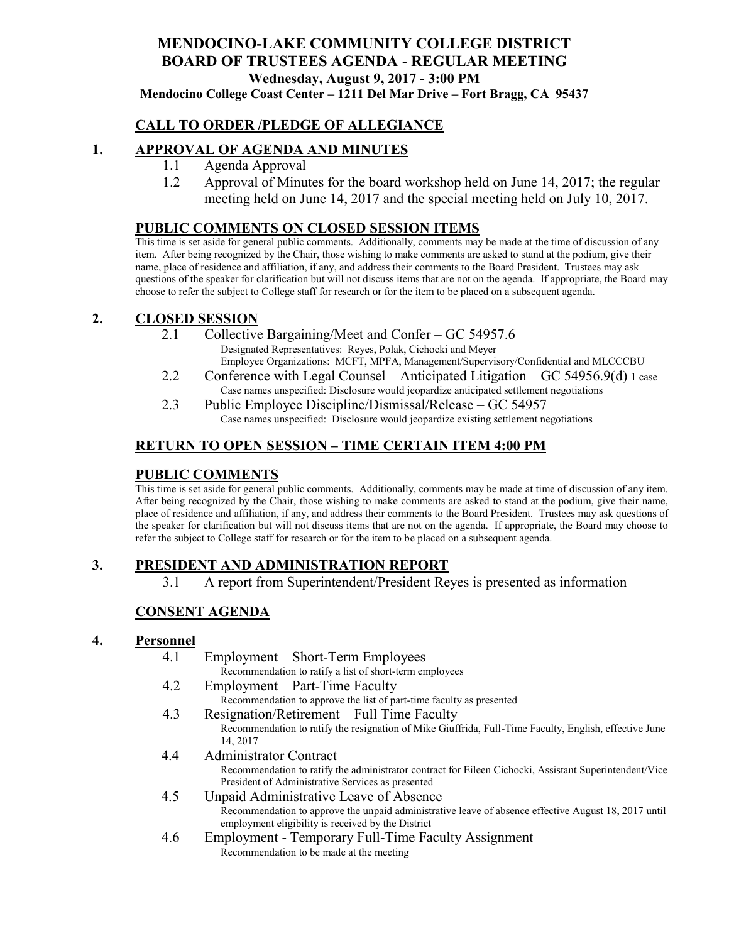# **MENDOCINO-LAKE COMMUNITY COLLEGE DISTRICT BOARD OF TRUSTEES AGENDA** - **REGULAR MEETING Wednesday, August 9, 2017 - 3:00 PM**

**Mendocino College Coast Center – 1211 Del Mar Drive – Fort Bragg, CA 95437**

### **CALL TO ORDER /PLEDGE OF ALLEGIANCE**

#### **1. APPROVAL OF AGENDA AND MINUTES**

- 1.1 Agenda Approval
- 1.2 Approval of Minutes for the board workshop held on June 14, 2017; the regular meeting held on June 14, 2017 and the special meeting held on July 10, 2017.

#### **PUBLIC COMMENTS ON CLOSED SESSION ITEMS**

This time is set aside for general public comments. Additionally, comments may be made at the time of discussion of any item. After being recognized by the Chair, those wishing to make comments are asked to stand at the podium, give their name, place of residence and affiliation, if any, and address their comments to the Board President. Trustees may ask questions of the speaker for clarification but will not discuss items that are not on the agenda. If appropriate, the Board may choose to refer the subject to College staff for research or for the item to be placed on a subsequent agenda.

### **2. CLOSED SESSION**

- 2.1 Collective Bargaining/Meet and Confer GC 54957.6 Designated Representatives: Reyes, Polak, Cichocki and Meyer Employee Organizations: MCFT, MPFA, Management/Supervisory/Confidential and MLCCCBU
- 2.2 Conference with Legal Counsel Anticipated Litigation GC 54956.9(d) 1 case Case names unspecified: Disclosure would jeopardize anticipated settlement negotiations
- 2.3 Public Employee Discipline/Dismissal/Release GC 54957 Case names unspecified: Disclosure would jeopardize existing settlement negotiations

### **RETURN TO OPEN SESSION – TIME CERTAIN ITEM 4:00 PM**

#### **PUBLIC COMMENTS**

This time is set aside for general public comments. Additionally, comments may be made at time of discussion of any item. After being recognized by the Chair, those wishing to make comments are asked to stand at the podium, give their name, place of residence and affiliation, if any, and address their comments to the Board President. Trustees may ask questions of the speaker for clarification but will not discuss items that are not on the agenda. If appropriate, the Board may choose to refer the subject to College staff for research or for the item to be placed on a subsequent agenda.

### **3. PRESIDENT AND ADMINISTRATION REPORT**

3.1 A report from Superintendent/President Reyes is presented as information

### **CONSENT AGENDA**

#### **4. Personnel**

- 4.1 Employment Short-Term Employees Recommendation to ratify a list of short-term employees
- 4.2 Employment Part-Time Faculty Recommendation to approve the list of part-time faculty as presented
- 4.3 Resignation/Retirement Full Time Faculty Recommendation to ratify the resignation of Mike Giuffrida, Full-Time Faculty, English, effective June 14, 2017
- 4.4 Administrator Contract Recommendation to ratify the administrator contract for Eileen Cichocki, Assistant Superintendent/Vice President of Administrative Services as presented
- 4.5 Unpaid Administrative Leave of Absence Recommendation to approve the unpaid administrative leave of absence effective August 18, 2017 until employment eligibility is received by the District
- 4.6 Employment Temporary Full-Time Faculty Assignment Recommendation to be made at the meeting